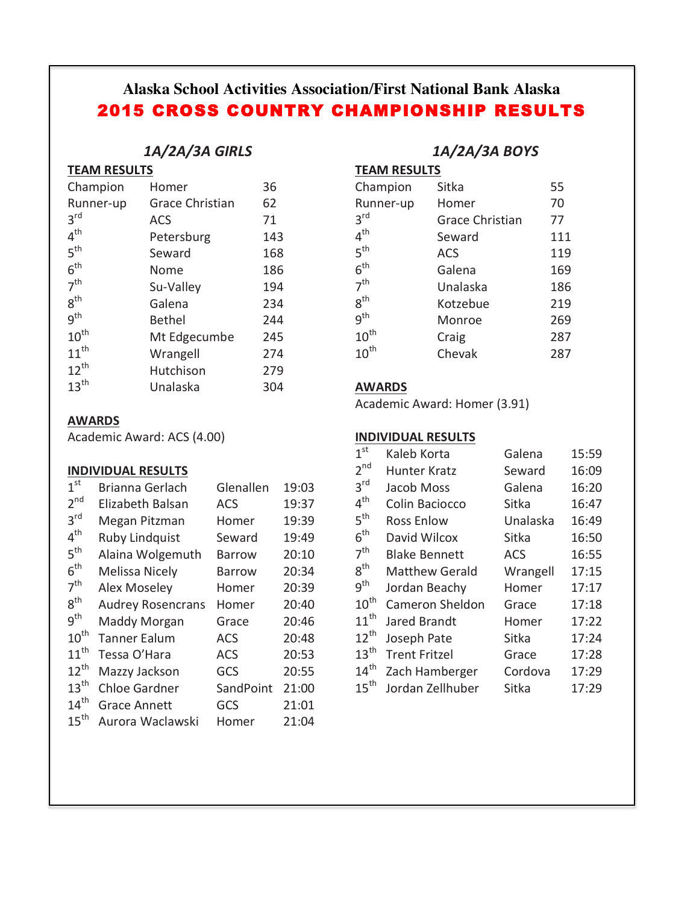# **Alaska School Activities Association/First National Bank Alaska** 2015 CROSS COUNTRY CHAMPIONSHIP RESULTS

## *1A/2A/3A GIRLS*

| <b>TEAM RESULTS</b> |
|---------------------|
|                     |

| Homer           | 36  |
|-----------------|-----|
| Grace Christian | 62  |
| ACS             | 71  |
| Petersburg      | 143 |
| Seward          | 168 |
| Nome            | 186 |
| Su-Valley       | 194 |
| Galena          | 234 |
| <b>Bethel</b>   | 244 |
| Mt Edgecumbe    | 245 |
| Wrangell        | 274 |
| Hutchison       | 279 |
| Unalaska        | 304 |
|                 |     |

#### **AWARDS**

Academic Award: ACS (4.00)

#### **INDIVIDUAL RESULTS**

| 1 <sup>st</sup>  | Brianna Gerlach          | Glenallen     | 19:03 |
|------------------|--------------------------|---------------|-------|
| 2 <sup>nd</sup>  | Elizabeth Balsan         | <b>ACS</b>    | 19:37 |
| $3^{\text{rd}}$  | Megan Pitzman            | Homer         | 19:39 |
| 4 <sup>th</sup>  | <b>Ruby Lindquist</b>    | Seward        | 19:49 |
| 5 <sup>th</sup>  | Alaina Wolgemuth         | <b>Barrow</b> | 20:10 |
| 6 <sup>th</sup>  | <b>Melissa Nicely</b>    | Barrow        | 20:34 |
| 7 <sup>th</sup>  | <b>Alex Moseley</b>      | Homer         | 20:39 |
| 8 <sup>th</sup>  | <b>Audrey Rosencrans</b> | Homer         | 20:40 |
| 9 <sup>th</sup>  | Maddy Morgan             | Grace         | 20:46 |
| $10^{th}$        | <b>Tanner Ealum</b>      | <b>ACS</b>    | 20:48 |
| $11^{th}$        | Tessa O'Hara             | <b>ACS</b>    | 20:53 |
| $12^{th}$        | Mazzy Jackson            | GCS           | 20:55 |
| $13^{\text{th}}$ | <b>Chloe Gardner</b>     | SandPoint     | 21:00 |
| 14 <sup>th</sup> | <b>Grace Annett</b>      | GCS           | 21:01 |
| $15^{\text{th}}$ | Aurora Waclawski         | Homer         | 21:04 |

## *1A/2A/3A BOYS*

**TEAM RESULTS** 

| Champion         | Sitka                  | 55  |
|------------------|------------------------|-----|
| Runner-up        | Homer                  | 70  |
| 3 <sup>rd</sup>  | <b>Grace Christian</b> | 77  |
| 4 <sup>th</sup>  | Seward                 | 111 |
| 5 <sup>th</sup>  | <b>ACS</b>             | 119 |
| 6 <sup>th</sup>  | Galena                 | 169 |
| 7 <sup>th</sup>  | Unalaska               | 186 |
| 8 <sup>th</sup>  | Kotzebue               | 219 |
| g <sup>th</sup>  | Monroe                 | 269 |
| $10^{\text{th}}$ | Craig                  | 287 |
| $10^{\text{th}}$ | Chevak                 | 287 |

#### **AWARDS**

Academic Award: Homer (3.91)

#### **INDIVIDUAL RESULTS**

| 1 <sup>st</sup>  | Kaleb Korta            | Galena     | 15:59 |
|------------------|------------------------|------------|-------|
| 2 <sup>nd</sup>  | Hunter Kratz           | Seward     | 16:09 |
| 3 <sup>rd</sup>  | Jacob Moss             | Galena     | 16:20 |
| $4^{\text{th}}$  | Colin Baciocco         | Sitka      | 16:47 |
| 5 <sup>th</sup>  | <b>Ross Enlow</b>      | Unalaska   | 16:49 |
| $6^{\text{th}}$  | David Wilcox           | Sitka      | 16:50 |
| 7 <sup>th</sup>  | <b>Blake Bennett</b>   | <b>ACS</b> | 16:55 |
| $8^{\text{th}}$  | <b>Matthew Gerald</b>  | Wrangell   | 17:15 |
| $9^{\text{th}}$  | Jordan Beachy          | Homer      | 17:17 |
| $10^{\text{th}}$ | <b>Cameron Sheldon</b> | Grace      | 17:18 |
| $11^{\text{th}}$ | Jared Brandt           | Homer      | 17:22 |
| $12^{th}$        | Joseph Pate            | Sitka      | 17:24 |
| $13^{\text{th}}$ | <b>Trent Fritzel</b>   | Grace      | 17:28 |
| $14^{\text{th}}$ | Zach Hamberger         | Cordova    | 17:29 |
| $15^{\text{th}}$ | Jordan Zellhuber       | Sitka      | 17:29 |